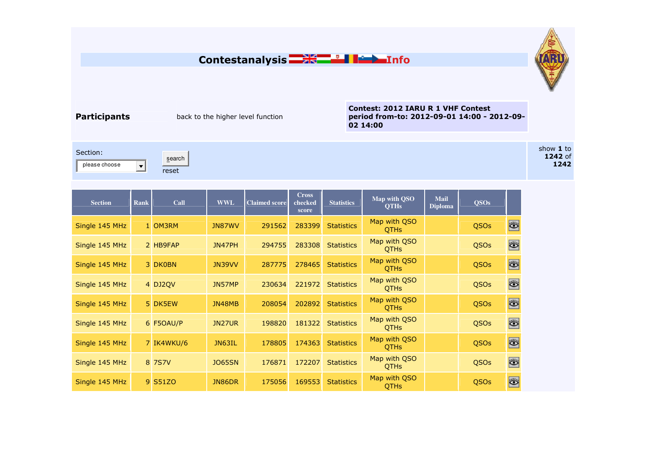## **Contestanalysis Info**



**Participants back to the higher level function** 

**Contest: 2012 IARU R 1 VHF Contest period from-to: 2012-09-01 14:00 - 2012-09-02 14:00** 

Section: please choose

search $\Box$ reset

| <b>Section</b> | <b>Rank</b> | Call       | <b>WWL</b>    | <b>Claimed score</b> | <b>Cross</b><br>checked<br>score | <b>Statistics</b> | Map with QSO<br><b>QTHs</b> | <b>Mail</b><br><b>Diploma</b> | <b>QSOs</b> |                      |
|----------------|-------------|------------|---------------|----------------------|----------------------------------|-------------------|-----------------------------|-------------------------------|-------------|----------------------|
| Single 145 MHz |             | 1 OM3RM    | JN87WV        | 291562               | 283399                           | <b>Statistics</b> | Map with QSO<br><b>OTHS</b> |                               | QSOs        | $\bullet$            |
| Single 145 MHz |             | 2 HB9FAP   | JN47PH        | 294755               | 283308                           | <b>Statistics</b> | Map with QSO<br><b>QTHs</b> |                               | QSOs        | $\bullet$            |
| Single 145 MHz |             | 3 DK0BN    | JN39VV        | 287775               | 278465                           | <b>Statistics</b> | Map with QSO<br><b>QTHs</b> |                               | QSOs        | $\overline{\bullet}$ |
| Single 145 MHz |             | 4 DJ2QV    | JN57MP        | 230634               | 221972                           | <b>Statistics</b> | Map with QSO<br><b>OTHS</b> |                               | QSOs        | $\ddot{\bullet}$     |
| Single 145 MHz |             | 5 DK5EW    | JN48MB        | 208054               | 202892                           | <b>Statistics</b> | Map with QSO<br><b>QTHs</b> |                               | QSOs        | ö                    |
| Single 145 MHz |             | 6 F5OAU/P  | JN27UR        | 198820               | 181322                           | <b>Statistics</b> | Map with QSO<br><b>QTHs</b> |                               | QSOs        | $\bullet$            |
| Single 145 MHz |             | 7 IK4WKU/6 | JN63IL        | 178805               | 174363                           | <b>Statistics</b> | Map with QSO<br><b>QTHs</b> |                               | QSOs        | ö                    |
| Single 145 MHz |             | 8 7 S 7 V  | <b>JO65SN</b> | 176871               | 172207                           | <b>Statistics</b> | Map with QSO<br><b>QTHs</b> |                               | QSOs        | $\bullet$            |
| Single 145 MHz |             | 9 S51ZO    | JN86DR        | 175056               | 169553                           | <b>Statistics</b> | Map with QSO<br><b>QTHs</b> |                               | <b>QSOs</b> | $\ddot{\bullet}$     |

show **1** to **1242** of **1242**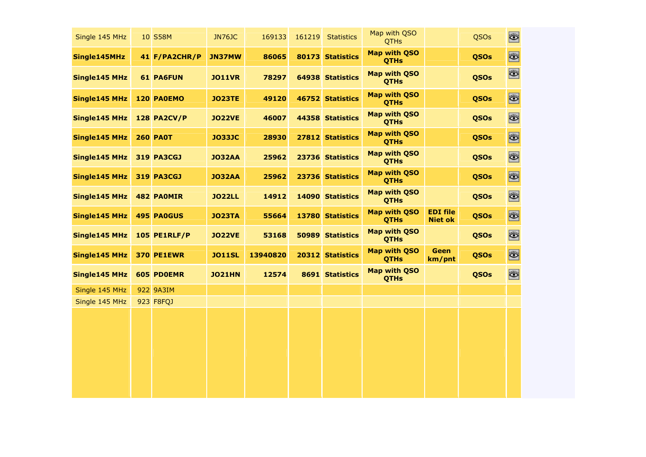| Single 145 MHz | 10 S58M             | <b>JN76JC</b> | 169133   | 161219 | <b>Statistics</b> | Map with QSO<br><b>QTHs</b>        |                                   | QSOs        | Ö,        |
|----------------|---------------------|---------------|----------|--------|-------------------|------------------------------------|-----------------------------------|-------------|-----------|
| Single145MHz   | 41 F/PA2CHR/P       | <b>JN37MW</b> | 86065    |        | 80173 Statistics  | Map with QSO<br><b>QTHs</b>        |                                   | <b>QSOs</b> | ö         |
| Single145 MHz  | <b>61 PA6FUN</b>    | <b>JO11VR</b> | 78297    |        | 64938 Statistics  | <b>Map with QSO</b><br><b>QTHs</b> |                                   | <b>QSOs</b> | $\bullet$ |
| Single145 MHz  | <b>120 PAOEMO</b>   | <b>JO23TE</b> | 49120    |        | 46752 Statistics  | Map with QSO<br><b>QTHs</b>        |                                   | <b>QSOs</b> | $\bullet$ |
| Single145 MHz  | <b>128 PA2CV/P</b>  | <b>JO22VE</b> | 46007    |        | 44358 Statistics  | <b>Map with QSO</b><br><b>QTHs</b> |                                   | <b>QSOs</b> | O.        |
| Single145 MHz  | <b>260 PA0T</b>     | <b>JO33JC</b> | 28930    |        | 27812 Statistics  | <b>Map with QSO</b><br><b>QTHs</b> |                                   | <b>QSOs</b> | $\bullet$ |
| Single145 MHz  | <b>319 PA3CGJ</b>   | <b>JO32AA</b> | 25962    |        | 23736 Statistics  | <b>Map with QSO</b><br><b>QTHs</b> |                                   | <b>QSOs</b> | $\bullet$ |
| Single145 MHz  | <b>319 PA3CGJ</b>   | <b>JO32AA</b> | 25962    |        | 23736 Statistics  | <b>Map with QSO</b><br><b>QTHs</b> |                                   | <b>QSOs</b> | ö.        |
| Single145 MHz  | <b>482 PAOMIR</b>   | <b>JO22LL</b> | 14912    |        | 14090 Statistics  | <b>Map with QSO</b><br><b>QTHs</b> |                                   | <b>QSOs</b> | O         |
| Single145 MHz  | 495 PA0GUS          | <b>JO23TA</b> | 55664    | 13780  | <b>Statistics</b> | <b>Map with QSO</b><br><b>QTHs</b> | <b>EDI file</b><br><b>Niet ok</b> | <b>QSOs</b> | $\bullet$ |
| Single145 MHz  | <b>105 PE1RLF/P</b> | <b>JO22VE</b> | 53168    |        | 50989 Statistics  | <b>Map with QSO</b><br><b>QTHs</b> |                                   | <b>QSOs</b> | O         |
| Single145 MHz  | <b>370 PE1EWR</b>   | <b>JO11SL</b> | 13940820 | 20312  | <b>Statistics</b> | <b>Map with QSO</b><br><b>QTHs</b> | <b>Geen</b><br>km/pnt             | <b>QSOs</b> | $\bullet$ |
| Single145 MHz  | 605 PDOEMR          | <b>JO21HN</b> | 12574    |        | 8691 Statistics   | <b>Map with QSO</b><br><b>QTHs</b> |                                   | <b>QSOs</b> | O         |
| Single 145 MHz | 922 9A3IM           |               |          |        |                   |                                    |                                   |             |           |
| Single 145 MHz | 923 F8FQJ           |               |          |        |                   |                                    |                                   |             |           |
|                |                     |               |          |        |                   |                                    |                                   |             |           |